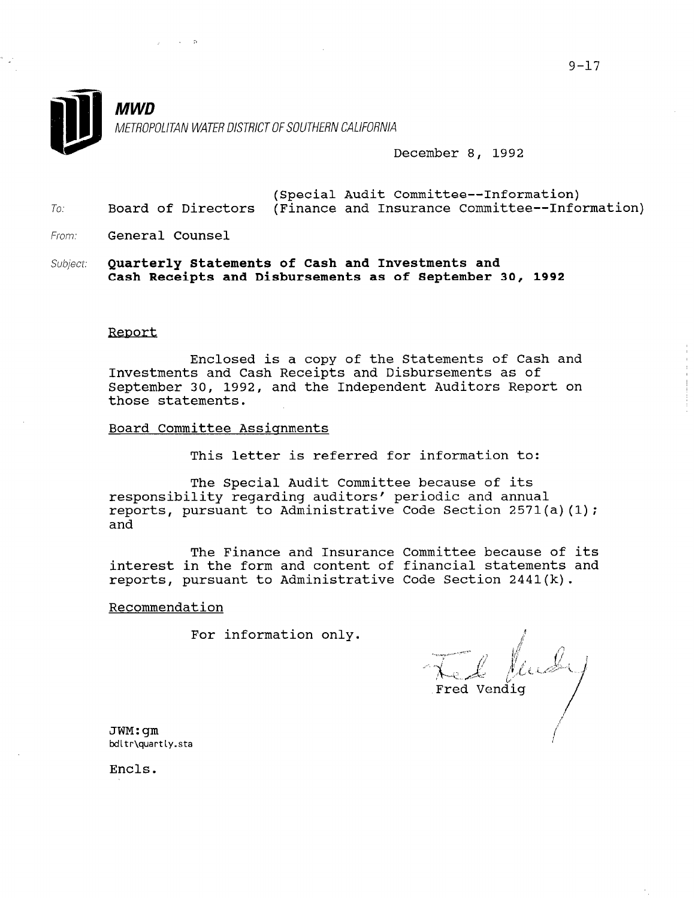:n

December 8, 1992

- (Special Audit Committee--Information) To: Board of Directors (Finance and Insurance Committee--Information)
- From: **General Counsel**

Subject: Ouarterly Statements of Cash and Investments and Cash Receipts and Disbursements as of September 30, 1992

#### Report

Enclosed is a copy of the Statements of Cash and Investments and Cash Receipts and Disbursements as of September 30, 1992, and the Independent Auditors Report on those statements.

Board Committee Assignments

This letter is referred for information to:

The Special Audit Committee because of its responsibility regarding auditors' periodic and annual reports, pursuant to Administrative Code Section 2571(a)(1); and

The Finance and Insurance Committee because of its interest in the form and content of financial statements and reports, pursuant to Administrative Code Section 2441(k).

## Recommendation

For information only.

Fred Vendig

JWM:gm bdltr\quartly.sta

Encls.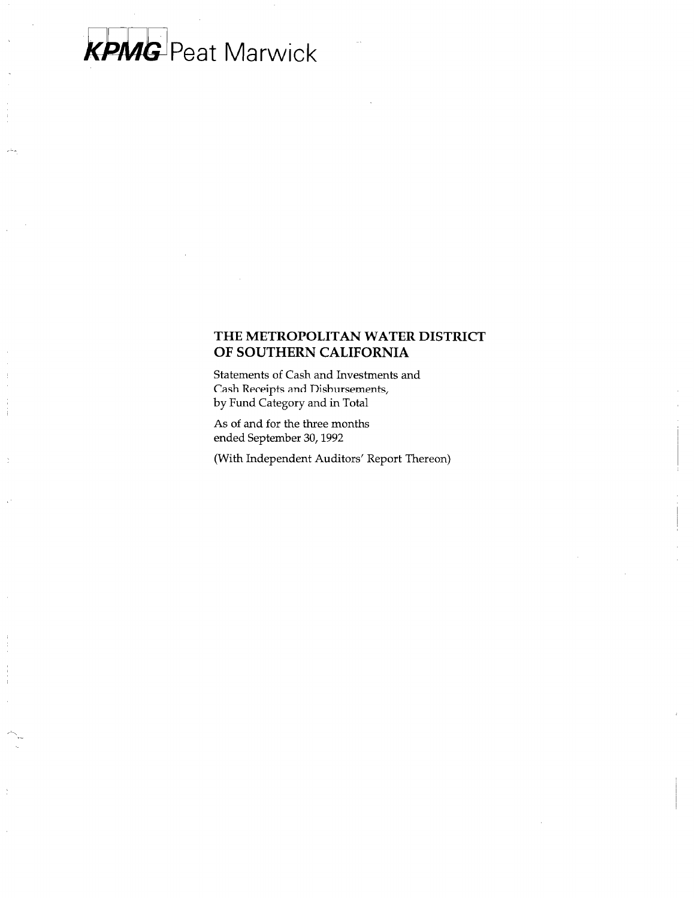# **KPMG** Peat Marwick

## THE METROPOLITAN WATER DISTRICT OF SOUTHERN CALIFORNIA

Statements of Cash and Investments and Cash Receipts and Disbursements, by Fund Category and in Total

As of and for the three months ended September 30,1992

(With Independent Auditors' Report Thereon)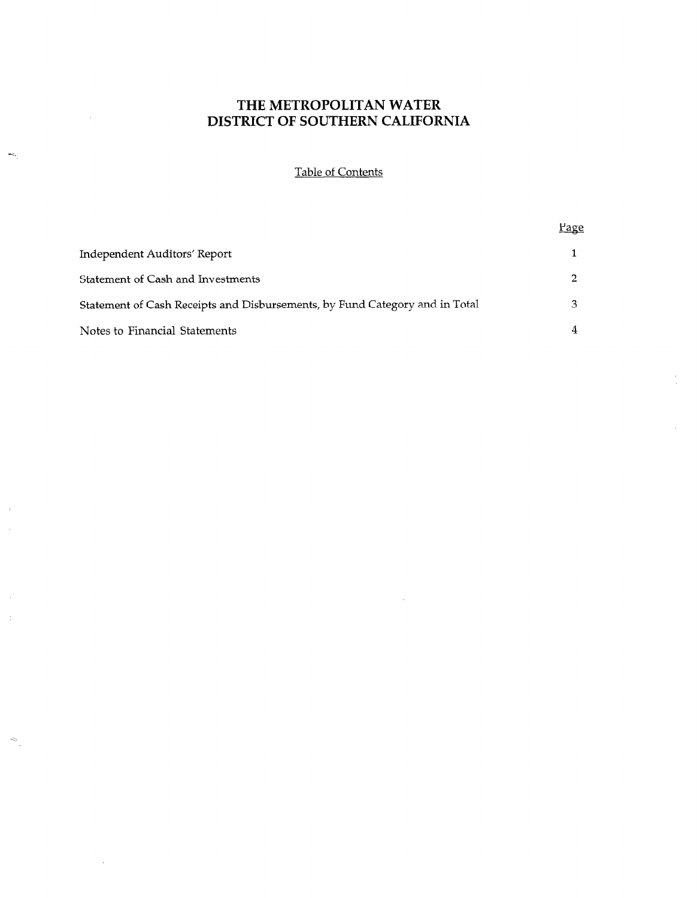$\sim 10^7$ 

 $-\mathbf{e}_i$ 

 $\sim$ r  $\mathcal{A}$ 

 $\mathcal{L}_{\mathrm{in}}$ 

 $\langle \pm \rangle$ 

 $\frac{c_N}{c}$ 

 $\bar{\psi}$ 

Table of Contents

Page

| Independent Auditors' Report                                                |  |
|-----------------------------------------------------------------------------|--|
| Statement of Cash and Investments                                           |  |
| Statement of Cash Receipts and Disbursements, by Fund Category and in Total |  |
| Notes to Financial Statements                                               |  |

 $\mathcal{L}$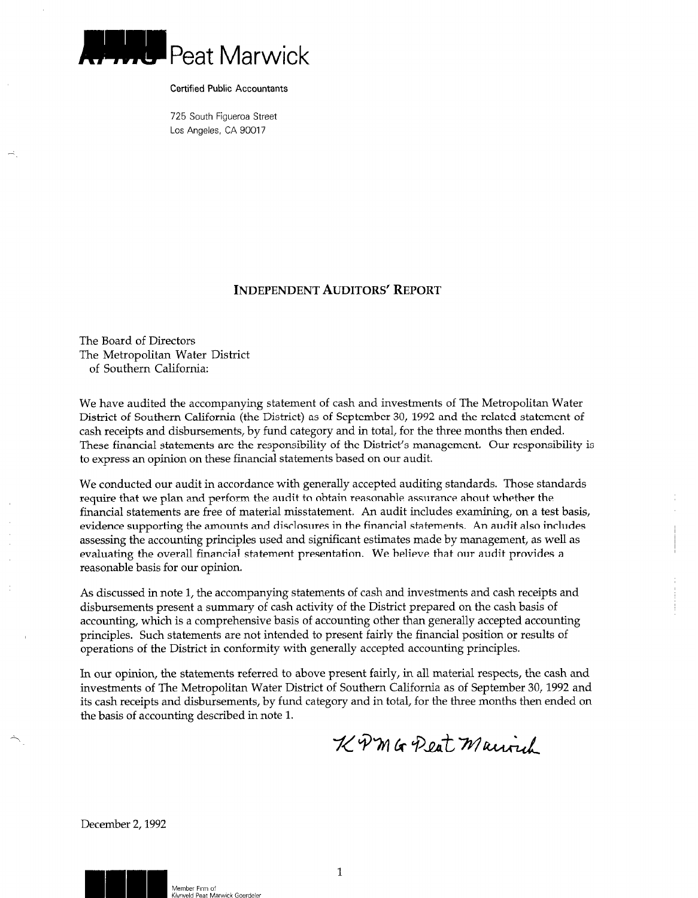

#### Certified Public Accountants

725 South Figueroa Street Los Angeles, CA 90017

## INDEPENDENT AUDITORS' REPORT

The Board of Directors The Metropolitan Water District of Southern California:

We have audited the accompanying statement of cash and investments of The Metropolitan Water District of Southern California (the District) as of September 30, 1992 and the related statement of cash receipts and disbursements, by fund category and in total, for the three months then ended. These financial statements, by the district with the result of the District management. Our responsibility is these mancial statements are are responsibility of the District state

We conducted our audit in accordance with generally accepted auditing standards. Those standards re condition our and protocolative while selling acceptive additing standards. Those star require that we plan and perform the audit to obtain reasonable assurance about whether the financial statements are free of material misstatement. An audit includes examining, on a test basis, evidence supporting the amounts and disclosures in the financial statements. An audit also includes assessing the accounting principles used and significant estimates made by management, as well as evaluating the overall financial statement presentation. We believe that our audit provides a reasonable basis for our opinion.

As discussed in note 1, the accompanying statements of cash and investments and cash receipts and disbursements present a summary of cash activity of the District prepared on the cash basis of accounting, which is a comprehensive basis of accounting other than generally accepted accounting principles. Such statements are not intended to present fairly the financial position or results of operations of the District in conformity with generally accepted accounting principles.

In our opinion, the statements referred to above present fairly, in all material respects, the cash and investments of The Metropolitan Water District of Southern California as of September 30, 1992 and its cash receipts and disbursements, by fund category and in total, for the three months then ended on the basis of accounting described in note 1.

KPMG Peat Marrich

December 2, 1992



.<br>Jarwick Goerdeler

 $\mathbf{1}$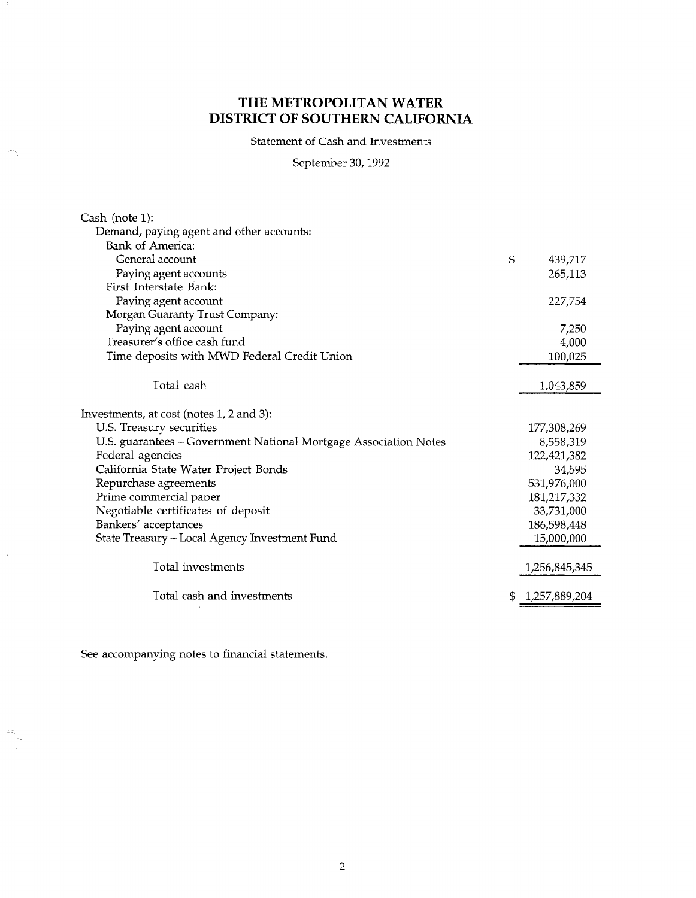Statement of Cash and Investments

September 30,1992

| Cash (note $1$ ):                                                |               |
|------------------------------------------------------------------|---------------|
| Demand, paying agent and other accounts:                         |               |
| Bank of America:                                                 |               |
| General account                                                  | \$<br>439,717 |
| Paying agent accounts                                            | 265,113       |
| First Interstate Bank:                                           |               |
| Paying agent account                                             | 227,754       |
| Morgan Guaranty Trust Company:                                   |               |
| Paying agent account                                             | 7,250         |
| Treasurer's office cash fund                                     | 4,000         |
| Time deposits with MWD Federal Credit Union                      | 100,025       |
|                                                                  |               |
| Total cash                                                       | 1,043,859     |
| Investments, at cost (notes 1, 2 and 3):                         |               |
| U.S. Treasury securities                                         | 177,308,269   |
| U.S. guarantees - Government National Mortgage Association Notes | 8,558,319     |
| Federal agencies                                                 | 122,421,382   |
| California State Water Project Bonds                             | 34,595        |
| Repurchase agreements                                            | 531,976,000   |
| Prime commercial paper                                           | 181,217,332   |
| Negotiable certificates of deposit                               | 33,731,000    |
| Bankers' acceptances                                             | 186,598,448   |
| State Treasury - Local Agency Investment Fund                    | 15,000,000    |
| Total investments                                                | 1,256,845,345 |
| Total cash and investments                                       | 1,257,889,204 |

See accompanying notes to financial statements.

 $\omega\omega_{\rm x}$ 

à.

 $\mathbb{R}_{\mathbb{Z}}$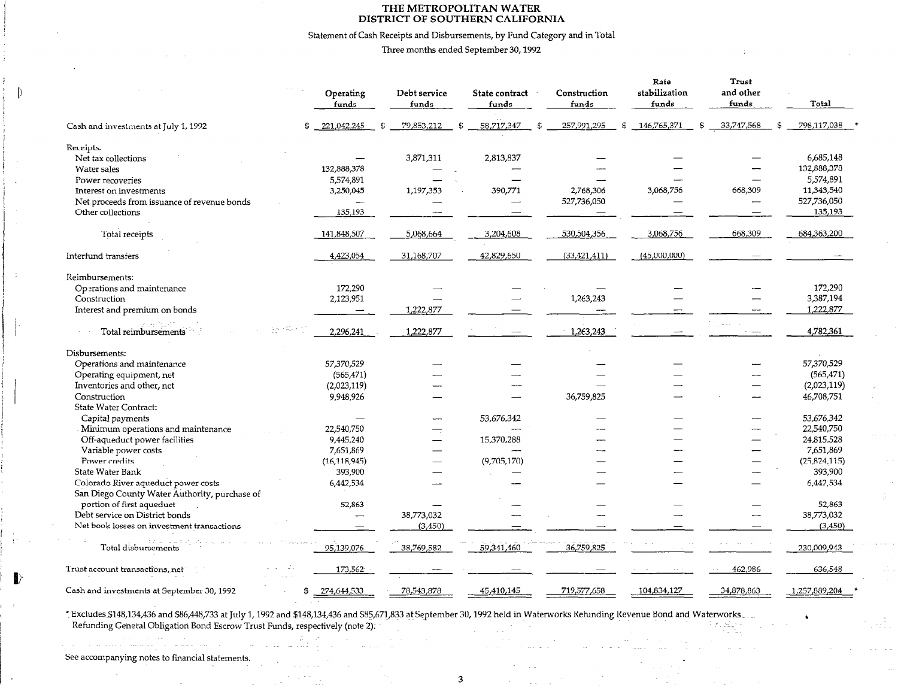#### Statement of Cash Receipts and Disbursements, by Fund Category and in Total

Three months ended September 30,1992

|                                                                        | Operating<br>funds     | Debt service<br>funds | State contract<br>funds  | Construction<br>funds | Rate<br>stabilization<br>funds | Trust<br>and other<br>funds | Total                   |
|------------------------------------------------------------------------|------------------------|-----------------------|--------------------------|-----------------------|--------------------------------|-----------------------------|-------------------------|
| Cash and investments at July 1, 1992                                   | $-221,042,245$<br>\$.  | 79,853,212<br>S<br>S  | 58,717,347               | 257,991,295<br>\$     | 146,765,371<br>\$              | 33,747,568<br>S             | 798,117,038             |
| Receipts:                                                              |                        |                       |                          |                       |                                |                             |                         |
| Net tax collections                                                    |                        | 3,871,311             | 2,813,837                |                       |                                |                             | 6,685,148               |
| Water sales                                                            | 132,888,378            |                       |                          |                       |                                |                             | 132,888,378             |
| Power recoveries                                                       | 5,574,891<br>3,250,045 | 1,197,353             | 390,771                  | 2,768,306             | 3,068,756                      | 668,309                     | 5,574,891<br>11,343,540 |
| Interest on investments<br>Net proceeds from issuance of revenue bonds |                        |                       | $\overline{\phantom{0}}$ | 527,736,050           |                                | —                           | 527,736,050             |
| Other collections                                                      | 135,193                |                       |                          |                       |                                |                             | 135,193                 |
| Total receipts                                                         | 141,848,507            | 5,068,664             | 3,204,608                | 530,504,356           | 3,068,756                      | 668,309                     | 684, 363, 200           |
| Interfund transfers                                                    | 4,423,054              | 31,168,707            | 42,829,650               | (33, 421, 411)        | (45,000,000)                   |                             |                         |
| Reimbursements:                                                        |                        |                       |                          |                       |                                |                             |                         |
| Operations and maintenance                                             | 172,290                |                       |                          |                       |                                |                             | 172,290                 |
| Construction                                                           | 2,123,951              |                       |                          | 1,263,243             |                                |                             | 3,387,194               |
| Interest and premium on bonds                                          |                        | 1,222,877             |                          |                       |                                |                             | 1,222,877               |
| Total reimbursements                                                   | 2,296,241              | 1,222,877             |                          | 1,263,243             |                                |                             | 4,782,361               |
| Disbursements:                                                         |                        |                       |                          |                       |                                |                             |                         |
| Operations and maintenance                                             | 57,370,529             |                       |                          |                       |                                |                             | 57,370,529              |
| Operating equipment, net                                               | (565, 471)             |                       |                          |                       |                                |                             | (565, 471)              |
| Inventories and other, net                                             | (2,023,119)            |                       |                          |                       |                                |                             | (2,023,119)             |
| Construction<br>State Water Contract:                                  | 9,948,926              |                       |                          | 36,759,825            |                                |                             | 46,708,751              |
| Capital payments                                                       |                        |                       | 53,676,342               |                       |                                |                             | 53,676,342              |
| Minimum operations and maintenance                                     | 22,540,750             |                       |                          |                       |                                |                             | 22,540,750              |
| Off-aqueduct power facilities                                          | 9,445,240              |                       | 15,370,288               |                       |                                |                             | 24,815,528              |
| Variable power costs                                                   | 7,651,869              |                       |                          |                       |                                |                             | 7,651,869               |
| Power credits                                                          | (16, 118, 945)         |                       | (9,705,170)              |                       |                                |                             | (25,824,115)            |
| <b>State Water Bank</b>                                                | 393.900                |                       |                          |                       |                                |                             | 393,900                 |
| Colorado River aqueduct power costs                                    | 6,442,534              |                       |                          |                       |                                |                             | 6,442,534               |
| San Diego County Water Authority, purchase of                          |                        |                       |                          |                       |                                |                             |                         |
| portion of first aqueduct                                              | 52,863                 |                       |                          |                       |                                |                             | 52,863                  |
| Debt service on District bonds                                         | –                      | 38,773,032            |                          |                       |                                |                             | 38,773,032              |
| Net book losses on investment transactions                             |                        | (3,450)               |                          |                       |                                |                             | (3, 450)                |
| Total disbursements                                                    | 95,139,076             | 38,769,582            | 59,341,460               | 36,759,825            |                                |                             | 230,009,943             |
| Trust account transactions, net                                        | 173,562                |                       |                          |                       |                                | 462,986                     | 636,548                 |
| Cash and investments at September 30, 1992                             | 274,644,533<br>\$      | 78,543,878            | 45,410,145               | 719,577,658           | 104,834,127                    | 34,878,863                  | 1,257,889,204           |

 $^\star$  Excludes \$148,134,436 and \$86,448,733 at July 1, 1992 and \$148,134,436 and \$85,671,833 at September 30, 1992 held in Waterworks Refunding Revenue Bond and Waterwo Refunding General Obligation Bond Escrow Trust Funds, respectively (note 2): n Salam Salah Salah Salah Salah Salah Salah Salah Salah Salah Salah Salah Salah Salah Salah Salah Salah Salah<br>Salah Salah Salah Salah Salah Salah Salah Salah Salah Salah Salah Salah Salah Salah Salah Salah Salah Salah S

See accompanying notes to financial statements.

 $\mathbb{R}^2$ 

3

in<br>San Barat Ing

b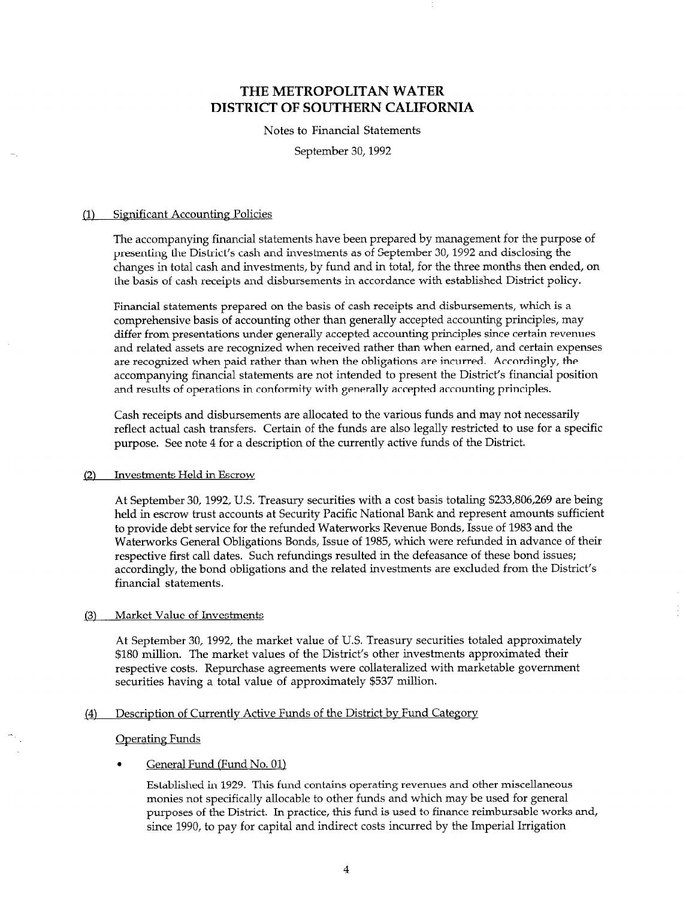Notes to Financial Statements

September 30,1992

#### (1) Significant Accounting Policies

The accompanying financial statements have been prepared by management for the purpose of presenting the District's cash and investments as of September 30,1992 and disclosing the changes in total cash and investments, by fund and in total, for the three months then ended, on the basis of cash receipts and disbursements in accordance with established District policy.

Financial statements prepared on the basis of cash receipts and disbursements, which is a comprehensive basis of accounting other than generally accepted accounting principles, may differ from presentations under generally accepted accounting principles since certain revenues and related assets are recognized when received rather than when earned, and certain expenses are recognized when paid rather than when the obligations are incurred. Accordingly, the accompanying financial statements are not intended to present the District's financial position and results of operations in conformity with generally accepted accounting principles.

Cash receipts and disbursements are allocated to the various funds and may not necessarily reflect actual cash transfers. Certain of the funds are also legally restricted to use for a specific purpose. See note 4 for a description of the currently active funds of the District.

#### (2) Investments Held in Escrow

At September 30, 1992, U.S. Treasury securities with a cost basis totaling \$233,806,269 are being held in escrow trust accounts at Security Pacific National Bank and represent amounts sufficient to provide debt service for the refunded Waterworks Revenue Bonds, Issue of 1983 and the Waterworks General Obligations Bonds, Issue of 1985, which were refunded in advance of their respective first call dates. Such refundings resulted in the defeasance of these bond issues; accordingly, the bond obligations and the related investments are excluded from the District's financial statements.

#### (3) Market Value of Investments

At September 30, 1992, the market value of U.S. Treasury securities totaled approximately \$180 million. The market values of the District's other investments approximated their respective costs. Repurchase agreements were collateralized with marketable government securities having a total value of approximately \$537 million.

## (4) Description of Currentlv Active Funds of the District bv Fund Category

## **Operating Funds**

#### . General Fund (Fund No. 01)

Established in 1929. This fund contains operating revenues and other miscellaneous monies not specifically allocable to other funds and which may be used for general promos not specifically anotable to outer rando and, which may be abea for general purposes or the District. In practice, this rund is asset to matrice remix assasse we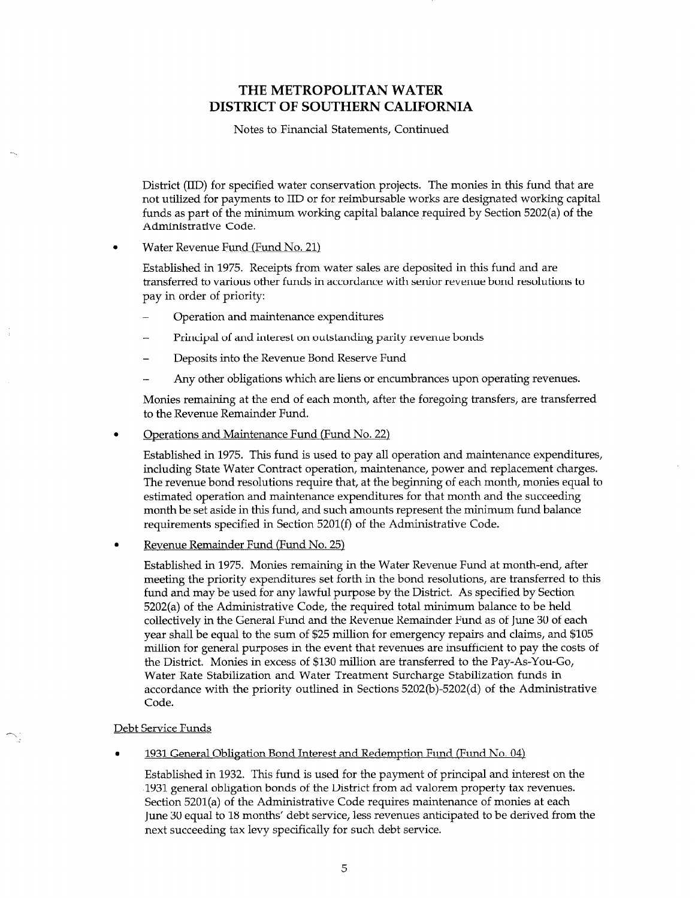Notes to Financial Statements, Continued

District (IID) for specified water conservation projects. The monies in this fund that are not utilized for payments to IID or for reimbursable works are designated working capital funds as part of the minimum working capital balance required by Section 5202(a) of the Administrative Code.

. Water Revenue Fund (Fund No. 21)

Established in 1975. Receipts from water sales are deposited in this fund and are transferred to various other funds in accordance with senior revenue bond resolutions to pay in order of priority:

- Operation and maintenance expenditures
- Principal of and interest on outstanding parity revenue bonds
- Deposits into the Revenue Bond Reserve Fund
- Any other obligations which are liens or encumbrances upon operating revenues.

Monies remaining at the end of each month, after the foregoing transfers, are transferred to the Revenue Remainder Fund.

. Operations and Maintenance Fund (Fund No. 22)

Established in 1975. This fund is used to pay all operation and maintenance expenditures, including State Water Contract operation, maintenance, power and replacement charges. The revenue bond resolutions require that, at the beginning of each month, monies equal to estimated operation and maintenance expenditures for that month and the succeeding month be set aside in this fund, and such amounts represent the minimum fund balance requirements specified in Section 5201(f) of the Administrative Code.

#### . Revenue Remainder Fund (Fund No. 25)

Established in 1975. Monies remaining in the Water Revenue Fund at month-end, after meeting the priority expenditures set forth in the bond resolutions, are transferred to this fund and may be used for any lawful purpose by the District. As specified by Section 5202(a) of the Administrative Code, the required total minimum balance to be held collectively in the General Fund and the Revenue Remainder Fund as of June 30 of each year shall be equal to the sum of \$25 million for emergency repairs and claims, and \$105 million for general purposes in the event that revenues are insufficient to pay the costs of the District. Monies in excess of \$130 million are transferred to the Pay-As-You-Go, Water Rate Stabilization and Water Treatment Surcharge Stabilization funds in accordance with the priority outlined in Sections 5202(b)-5202(d) of the Administrative Code.

#### Debt Service Funds

. 1931 General Obligation Bond Interest and Redemption Fund (Fund No. 04)

Established in 1932. This fund is used for the payment of principal and interest on the 1931 general objects of the District for the District of process and interest on 1931 general obligation bonds of the District from ad valorem property tax revenues.<br>Section 5201(a) of the Administrative Code requires maintenance of monies at each  $J_{\text{tot}}(a)$  of the numerically  $\text{Cov}_{\text{tot}}$  requires maintenance of months at each functor equal to 10 months accelerate, resolutional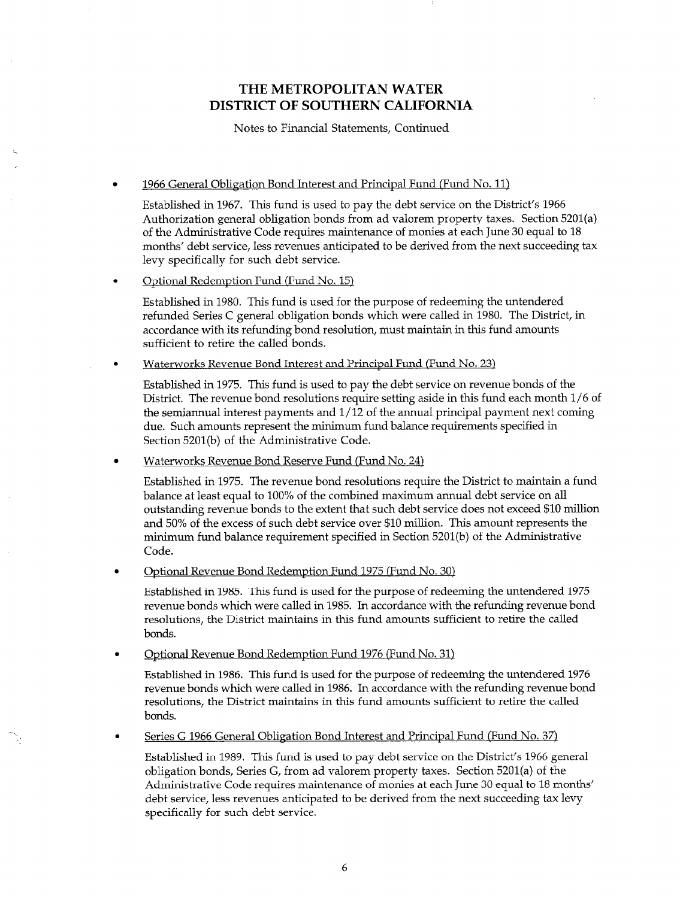Notes to Financial Statements, Continued

. 1966 General Oblipation Bond Interest and Principal Fund (Fund No. 11)

Established in 1967. This fund is used to pay the debt service on the District's 1966 Authorization general obligation bonds from ad valorem property taxes. Section 5201(a) of the Administrative Code requires maintenance of monies at each June 30 equal to 18 months' debt service, less revenues anticipated to be derived from the next succeeding tax levy specifically for such debt service.

. Ontional Redemption Fund (Fund No. 15)

Established in 1980. This fund is used for the purpose of redeeming the untendered refunded Series C general obligation bonds which were called in 1980. The District, in accordance with its refunding bond resolution, must maintain in this fund amounts sufficient to retire the called bonds.

. Waterworks Revenue Bond Interest and Princioal Fund (Fund No. 23)

Established in 1975. This fund is used to pay the debt service on revenue bonds of the District. The revenue bond resolutions require setting aside in this fund each month l/6 of the semiannual interest payments and l/12 of the annual principal payment next coming due. Such amounts represent the minimum fund balance requirements specified in Section 5201(b) of the Administrative Code.

. Waterworks Revenue Bond Reserve Fund (Fund No. 24)

Established in 1975. The revenue bond resolutions require the District to maintain a fund balance at least equal to 100% of the combined maximum annual debt service on all outstanding revenue bonds to the extent that such debt service does not exceed \$10 million and 50% of the excess of such debt service over \$10 million. This amount represents the minimum fund balance requirement specified in Section 5201(b) of the Administrative Code.

. Optional Revenue Bond Redemption Fund 1975 (Fund No. 30)

Established in 1985. This fund is used for the purpose of redeeming the untendered 1975 revenue bonds which were called in 1985. In accordance with the refunding revenue bond resolutions, the District maintains in this fund amounts sufficient to retire the called bonds.

. Outional Revenue Bond Redemption Fund 1976 (Fund No. 31)

Established in 1986. This fund is used for the purpose of redeeming the untendered 1976 revenue bonds which were called in 1986. In accordance with the refunding revenue bond resolutions, the District maintains in this fund amounts sufficient to retire the called bonds.

. Series G 1966 General Oblipation Bond Interest and Principal Fund (Fund No. 37)

Established in 1989. This fund is used to pay debt service on the District's 1966 general obligation bonds, Series G, from ad valorem property taxes. Section 5201(a) of the boughton bonds, benes C, nom at valorem property lakes. Bechon blonds, or the debt service, less revenues and the next succeeding the next succeeding to be depth to be more debt service, less revenues anticipated to be derived from the next succeeding tax levy specifically for such debt service.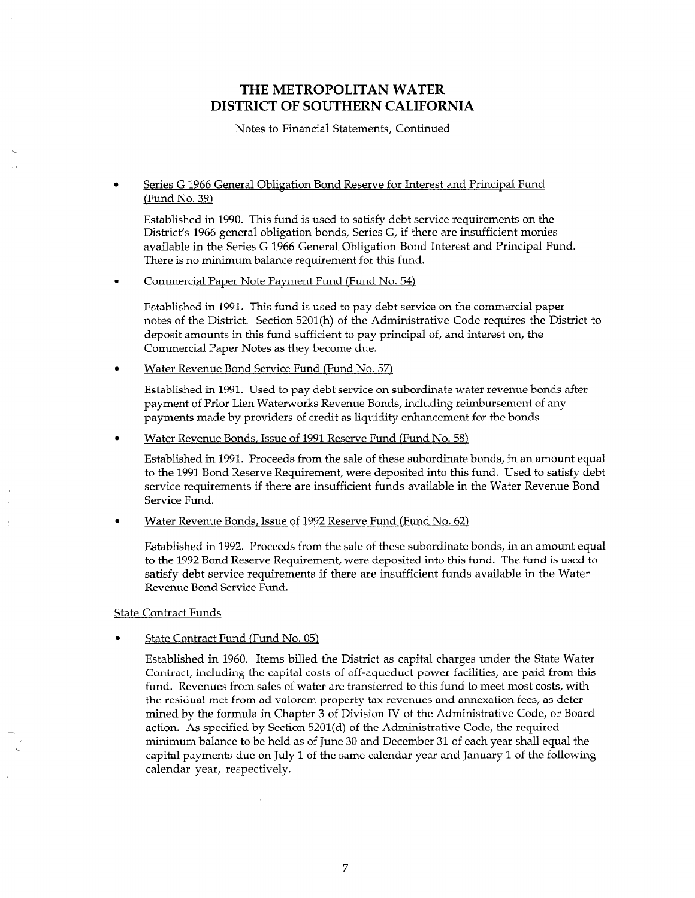Notes to Financial Statements, Continued

## . Series G 1966 General Obligation Bond Reserve for Interest and Principal Fund (Fund No. 39)

Established in 1990. This fund is used to satisfy debt service requirements on the District's 1966 general obligation bonds, Series G, if there are insufficient monies available in the Series G 1966 General Obligation Bond Interest and Principal Fund. There is no minimum balance requirement for this fund.

#### . Commercial Paper Note Pavment Fund (Fund No. 54)

Established in 1991. This fund is used to pay debt service on the commercial paper notes of the District. Section  $5201(h)$  of the Administrative Code requires the District to deposit amounts in this fund sufficient to pay principal of, and interest on, the Commercial Paper Notes as they become due.

#### . Water Revenue Bond Service Fund (Fund No. 57)

Established in 1991. Used to pay debt service on subordinate water revenue bonds after payment of Prior Lien Waterworks Revenue Bonds, including reimbursement of any payments made by providers of credit as liquidity enhancement for the bonds.

. Water Revenue Bonds, Issue of 1991 Reserve Fund (Fund No. 58)

Established in 1991. Proceeds from the sale of these subordinate bonds, in an amount equal to the 1991 Bond Reserve Requirement, were deposited into this fund. Used to satisfy debt service requirements if there are insufficient funds available in the Water Revenue Bond Service Fund.

. Water Revenue Bonds, Issue of 1992 Reserve Fund (Fund No. 621

Established in 1992. Proceeds from the sale of these subordinate bonds, in an amount equal to the 1992 Bond Reserve Requirement, were deposited into this fund. The fund is used to satisfy debt service requirements if there are insufficient funds available in the Water Revenue Bond Service Fund.

State Contract Funds

#### . State Contract Fund (Fund No. 05)

Established in 1960. Items billed the District as capital charges under the State Water Contract, including the capital costs of off-aqueduct power facilities, are paid from this fund. Revenues from sales of water are transferred to this fund to meet most costs, with the residual met from ad valorem property tax revenues and annexation fees, as determe replacia include an experimental property and revenues and distinguished response action. As specified by the required by Section 5201 (d) or the Administrative Code, the required by the required of the required by the required of the required of the required of the required of the required of the requi action. As specified by Section 5201(d) of the Administrative Code, the required minimum balance to be held as of June 30 and December 31 of each year shall equal the capital payments due on July 1 of the same calendar year and January 1 of the following calendar year, respectively.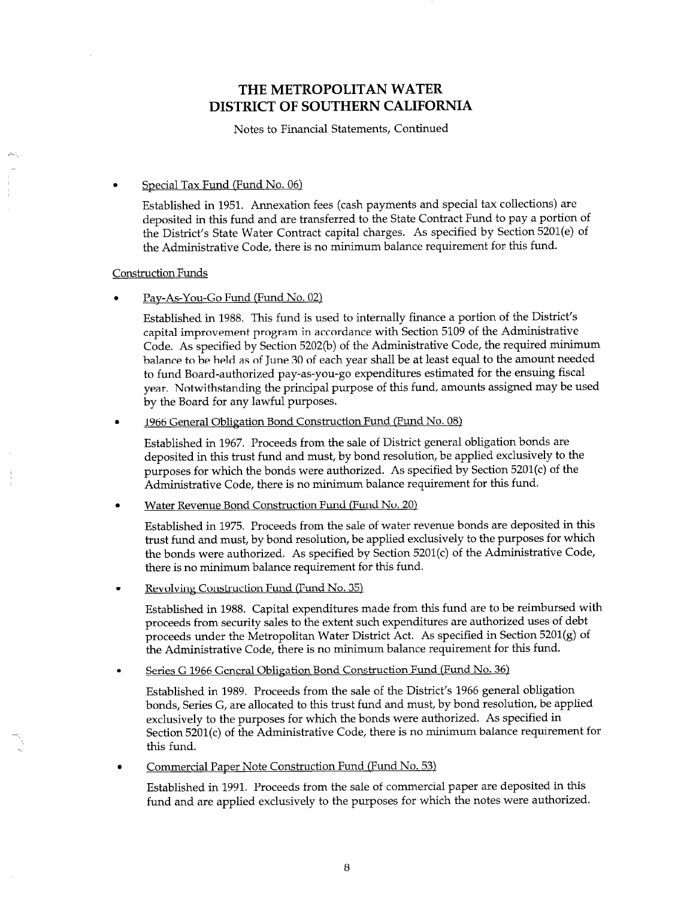Notes to Financial Statements, Continued

## Special Tax Fund (Fund No. 06)

Established in 1951. Annexation fees (cash payments and special tax collections) are deposited in this fund and are transferred to the State Contract Fund to pay a portion of the District's State Water Contract capital charges. As specified by Section 5201(e) of the Administrative Code, there is no minimum balance requirement for this fund.

#### Construction Funds

Pay-As-You-Go Fund (Fund No. 02)

Established in 1988. This fund is used to internally finance a portion of the District's capital improvement program in accordance with Section 5109 of the Administrative Code. As specified by Section 5202(b) of the Administrative Code, the required minimum balance to be held as of June 30 of each year shall be at least equal to the amount needed to fund Board-authorized pay-as-you-go expenditures estimated for the ensuing fiscal year. Notwithstanding the principal purpose of this fund, amounts assigned may be used by the Board for any lawful purposes.

. 1966 General Obligation Bond Construction Fund (Fund No. OS)

Established in 1967. Proceeds from the sale of District general obligation bonds are deposited in this trust fund and must, by bond resolution, be applied exclusively to the purposes for which the bonds were authorized. As specified by Section 5201(c) of the Administrative Code, there is no minimum balance requirement for this fund.

. Water Revenue Bond Construction Fund (Fund No. 20)

Established in 1975. Proceeds from the sale of water revenue bonds are deposited in this trust fund and must, by bond resolution, be applied exclusively to the purposes for which the bonds were authorized. As specified by Section 5201(c) of the Administrative Code, there is no minimum balance requirement for this fund.

. Revolving Construction Fund (Fund No. 35)

Established in 1988. Capital expenditures made from this fund are to be reimbursed with proceeds from security sales to the extent such expenditures are authorized uses of debt proceeds under the Metropolitan Water District Act. As specified in Section 5201 $(g)$  of the Administrative Code, there is no minimum balance requirement for this fund.

Series G 1966 General Obligation Bond Construction Fund (Fund No. 36)

Established in 1989. Proceeds from the sale of the District's 1966 general obligation bonds, Series G, are allocated to this trust fund and must, by bond resolution, be applied exclusively to the purposes for which the bonds were authorized. As specified in Section 5201(c) of the Administrative Code, there is no minimum balance requirement for this fund.

Commercial Paper Note Construction Fund (Fund No. 53)

Established in 1991. Proceeds from the sale of commercial paper are deposited in this fund and are applied exclusively to the purposes for which the notes were authorized.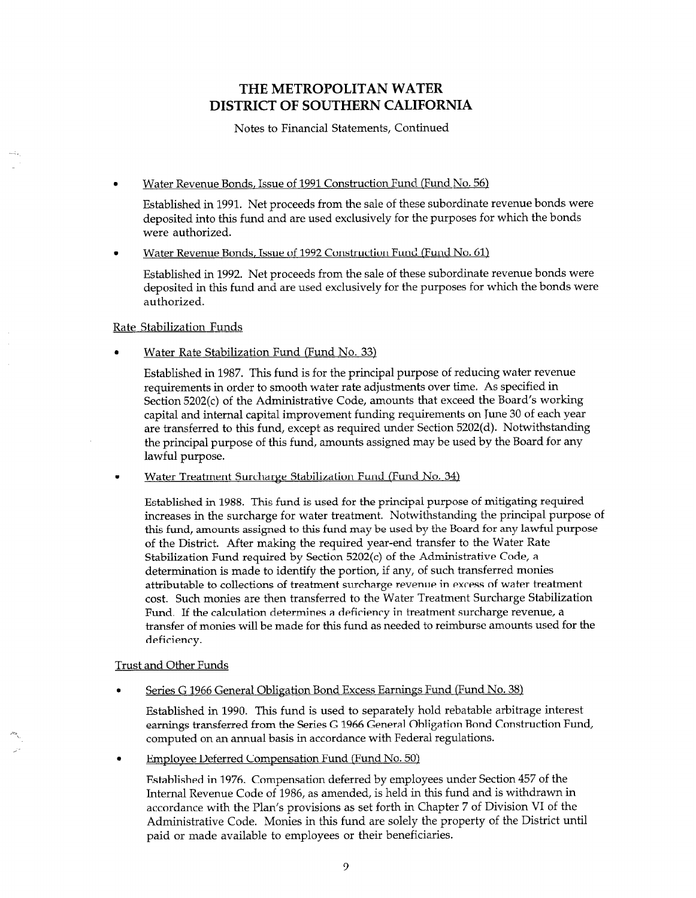Notes to Financial Statements, Continued

• Water Revenue Bonds, Issue of 1991 Construction Fund (Fund No. 56)

Established in 1991. Net proceeds from the sale of these subordinate revenue bonds were deposited into this fund and are used exclusively for the purposes for which the bonds were authorized.

. Water Revenue Bonds, Issue of 1992 Construction Fund (Fund No. 61)

Established in 1992. Net proceeds from the sale of these subordinate revenue bonds were deposited in this fund and are used exclusively for the purposes for which the bonds were authorized.

## Rate Stabilization Funds

. Water Rate Stabilization Fund (Fund No. 33)

Established in 1987. This fund is for the principal purpose of reducing water revenue requirements in order to smooth water rate adjustments over time. As specified in Section 5202(c) of the Administrative Code, amounts that exceed the Board's working capital and internal capital improvement funding requirements on June 30 of each year are transferred to this fund, except as required under Section 5202(d). Notwithstanding the principal purpose of this fund, amounts assigned may be used by the Board for any lawful purpose.

. Water Treatment Surcharge Stabilization Fund (Fund No. 34)

Established in 1988. This fund is used for the principal purpose of mitigating required increases in the surcharge for water treatment. Notwithstanding the principal purpose of this fund, amounts assigned to this fund may be used by the Board for any lawful purpose of the District. After making the required year-end transfer to the Water Rate Stabilization Fund required by Section 5202(c) of the Administrative Code, a determination is made to identify the portion, if any, of such transferred monies attributable to collections of treatment surcharge revenue in excess of water treatment cost. Such monies are then transferred to the Water Treatment Surcharge Stabilization Fund. If the calculation determines a deficiency in treatment surcharge revenue, a transfer of monies will be made for this fund as needed to reimburse amounts used for the deficiency.

## Trust and Other Funds

. Series G 1966 General Obligation Bond Excess Earnings Fund (Fund No. 38)

Established in 1990. This fund is used to separately hold rebatable arbitrage interest earnings transferred from the Series G 1966 General Obligation Bond Construction Fund, computed on an annual basis in accordance with Federal regulations.

• Employee Deferred Compensation Fund (Fund No. 50)

Established in 1976. Compensation deferred by employees under Section 457 of the Internal Revenue Code of 1986, as amended, is held in this fund and is withdrawn in accordance with the Plan's provisions as set forth in Chapter 7 of Division VI of the Administrative Code. Monies in this fund are solely the property of the District until paid or made available to employees or their beneficiaries.